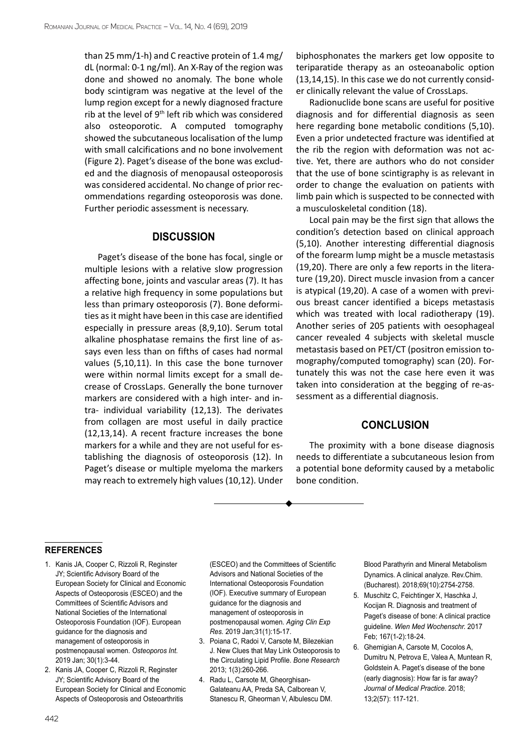than 25 mm/1-h) and C reactive protein of 1.4 mg/ dL (normal: 0-1 ng/ml). An X-Ray of the region was done and showed no anomaly. The bone whole body scintigram was negative at the level of the lump region except for a newly diagnosed fracture rib at the level of  $9<sup>th</sup>$  left rib which was considered also osteoporotic. A computed tomography showed the subcutaneous localisation of the lump with small calcifications and no bone involvement (Figure 2). Paget's disease of the bone was excluded and the diagnosis of menopausal osteoporosis was considered accidental. No change of prior recommendations regarding osteoporosis was done. Further periodic assessment is necessary.

## **Discussion**

Paget's disease of the bone has focal, single or multiple lesions with a relative slow progression affecting bone, joints and vascular areas (7). It has a relative high frequency in some populations but less than primary osteoporosis (7). Bone deformities as it might have been in this case are identified especially in pressure areas (8,9,10). Serum total alkaline phosphatase remains the first line of assays even less than on fifths of cases had normal values (5,10,11). In this case the bone turnover were within normal limits except for a small decrease of CrossLaps. Generally the bone turnover markers are considered with a high inter- and intra- individual variability (12,13). The derivates from collagen are most useful in daily practice (12,13,14). A recent fracture increases the bone markers for a while and they are not useful for establishing the diagnosis of osteoporosis (12). In Paget's disease or multiple myeloma the markers may reach to extremely high values (10,12). Under biphosphonates the markers get low opposite to teriparatide therapy as an osteoanabolic option (13,14,15). In this case we do not currently consider clinically relevant the value of CrossLaps.

Radionuclide bone scans are useful for positive diagnosis and for differential diagnosis as seen here regarding bone metabolic conditions (5,10). Even a prior undetected fracture was identified at the rib the region with deformation was not active. Yet, there are authors who do not consider that the use of bone scintigraphy is as relevant in order to change the evaluation on patients with limb pain which is suspected to be connected with a musculoskeletal condition (18).

Local pain may be the first sign that allows the condition's detection based on clinical approach (5,10). Another interesting differential diagnosis of the forearm lump might be a muscle metastasis (19,20). There are only a few reports in the literature (19,20). Direct muscle invasion from a cancer is atypical (19,20). A case of a women with previous breast cancer identified a biceps metastasis which was treated with local radiotherapy (19). Another series of 205 patients with oesophageal cancer revealed 4 subjects with skeletal muscle metastasis based on PET/CT (positron emission tomography/computed tomography) scan (20). Fortunately this was not the case here even it was taken into consideration at the begging of re-assessment as a differential diagnosis.

## **Conclusion**

The proximity with a bone disease diagnosis needs to differentiate a subcutaneous lesion from a potential bone deformity caused by a metabolic bone condition.

## **references**

- 1. [Kanis JA,](https://www.ncbi.nlm.nih.gov/pubmed/?term=Kanis JA%5BAuthor%5D&cauthor=true&cauthor_uid=30324412) [Cooper C,](https://www.ncbi.nlm.nih.gov/pubmed/?term=Cooper C%5BAuthor%5D&cauthor=true&cauthor_uid=30324412) [Rizzoli R](https://www.ncbi.nlm.nih.gov/pubmed/?term=Rizzoli R%5BAuthor%5D&cauthor=true&cauthor_uid=30324412), [Reginster](https://www.ncbi.nlm.nih.gov/pubmed/?term=Reginster JY%5BAuthor%5D&cauthor=true&cauthor_uid=30324412) [JY](https://www.ncbi.nlm.nih.gov/pubmed/?term=Reginster JY%5BAuthor%5D&cauthor=true&cauthor_uid=30324412); [Scientific Advisory Board of the](https://www.ncbi.nlm.nih.gov/pubmed/?term=Scientific Advisory Board of the European Society for Clinical and Economic Aspects of Osteoporosis (ESCEO) and the Committees of Scientific Advisors and National Societies of the International Osteoporosis Foundation (IOF)%5BCorporate Author%5D)  [European Society for Clinical and Economic](https://www.ncbi.nlm.nih.gov/pubmed/?term=Scientific Advisory Board of the European Society for Clinical and Economic Aspects of Osteoporosis (ESCEO) and the Committees of Scientific Advisors and National Societies of the International Osteoporosis Foundation (IOF)%5BCorporate Author%5D) [Aspects of Osteoporosis \(ESCEO\) and the](https://www.ncbi.nlm.nih.gov/pubmed/?term=Scientific Advisory Board of the European Society for Clinical and Economic Aspects of Osteoporosis (ESCEO) and the Committees of Scientific Advisors and National Societies of the International Osteoporosis Foundation (IOF)%5BCorporate Author%5D)  [Committees of Scientific Advisors and](https://www.ncbi.nlm.nih.gov/pubmed/?term=Scientific Advisory Board of the European Society for Clinical and Economic Aspects of Osteoporosis (ESCEO) and the Committees of Scientific Advisors and National Societies of the International Osteoporosis Foundation (IOF)%5BCorporate Author%5D)  [National Societies of the International](https://www.ncbi.nlm.nih.gov/pubmed/?term=Scientific Advisory Board of the European Society for Clinical and Economic Aspects of Osteoporosis (ESCEO) and the Committees of Scientific Advisors and National Societies of the International Osteoporosis Foundation (IOF)%5BCorporate Author%5D)  [Osteoporosis Foundation \(IOF\).](https://www.ncbi.nlm.nih.gov/pubmed/?term=Scientific Advisory Board of the European Society for Clinical and Economic Aspects of Osteoporosis (ESCEO) and the Committees of Scientific Advisors and National Societies of the International Osteoporosis Foundation (IOF)%5BCorporate Author%5D) European guidance for the diagnosis and management of osteoporosis in postmenopausal women. *[Osteoporos Int.](https://www.ncbi.nlm.nih.gov/pubmed/30324412)*  2019 Jan; 30(1):3-44.
- 2. [Kanis JA,](https://www.ncbi.nlm.nih.gov/pubmed/?term=Kanis JA%5BAuthor%5D&cauthor=true&cauthor_uid=30612282) [Cooper C,](https://www.ncbi.nlm.nih.gov/pubmed/?term=Cooper C%5BAuthor%5D&cauthor=true&cauthor_uid=30612282) [Rizzoli R](https://www.ncbi.nlm.nih.gov/pubmed/?term=Rizzoli R%5BAuthor%5D&cauthor=true&cauthor_uid=30612282), [Reginster](https://www.ncbi.nlm.nih.gov/pubmed/?term=Reginster JY%5BAuthor%5D&cauthor=true&cauthor_uid=30612282) [JY](https://www.ncbi.nlm.nih.gov/pubmed/?term=Reginster JY%5BAuthor%5D&cauthor=true&cauthor_uid=30612282); [Scientific Advisory Board of the](https://www.ncbi.nlm.nih.gov/pubmed/?term=Scientific Advisory Board of the European Society for Clinical and Economic Aspects of Osteoporosis and Osteoarthritis (ESCEO) and the Committees of Scientific Advisors and National Societies of the International Osteoporosis Foundation (IOF)%5BCorporate Author%5D) [European Society for Clinical and Economic](https://www.ncbi.nlm.nih.gov/pubmed/?term=Scientific Advisory Board of the European Society for Clinical and Economic Aspects of Osteoporosis and Osteoarthritis (ESCEO) and the Committees of Scientific Advisors and National Societies of the International Osteoporosis Foundation (IOF)%5BCorporate Author%5D) [Aspects of Osteoporosis and Osteoarthritis](https://www.ncbi.nlm.nih.gov/pubmed/?term=Scientific Advisory Board of the European Society for Clinical and Economic Aspects of Osteoporosis and Osteoarthritis (ESCEO) and the Committees of Scientific Advisors and National Societies of the International Osteoporosis Foundation (IOF)%5BCorporate Author%5D)

[\(ESCEO\) and the Committees of Scientific](https://www.ncbi.nlm.nih.gov/pubmed/?term=Scientific Advisory Board of the European Society for Clinical and Economic Aspects of Osteoporosis and Osteoarthritis (ESCEO) and the Committees of Scientific Advisors and National Societies of the International Osteoporosis Foundation (IOF)%5BCorporate Author%5D)  [Advisors and National Societies of the](https://www.ncbi.nlm.nih.gov/pubmed/?term=Scientific Advisory Board of the European Society for Clinical and Economic Aspects of Osteoporosis and Osteoarthritis (ESCEO) and the Committees of Scientific Advisors and National Societies of the International Osteoporosis Foundation (IOF)%5BCorporate Author%5D)  [International Osteoporosis Foundation](https://www.ncbi.nlm.nih.gov/pubmed/?term=Scientific Advisory Board of the European Society for Clinical and Economic Aspects of Osteoporosis and Osteoarthritis (ESCEO) and the Committees of Scientific Advisors and National Societies of the International Osteoporosis Foundation (IOF)%5BCorporate Author%5D)  [\(IOF\).](https://www.ncbi.nlm.nih.gov/pubmed/?term=Scientific Advisory Board of the European Society for Clinical and Economic Aspects of Osteoporosis and Osteoarthritis (ESCEO) and the Committees of Scientific Advisors and National Societies of the International Osteoporosis Foundation (IOF)%5BCorporate Author%5D) Executive summary of European guidance for the diagnosis and management of osteoporosis in postmenopausal women. *[Aging Clin Exp](https://www.ncbi.nlm.nih.gov/pubmed/30612282)  [Res.](https://www.ncbi.nlm.nih.gov/pubmed/30612282)* 2019 Jan;31(1):15-17.

- 3. Poiana C, Radoi V, Carsote M, Bilezekian J. New Clues that May Link Osteoporosis to the Circulating Lipid Profile. *Bone Research* 2013; 1(3):260-266.
- 4. Radu L, Carsote M, Gheorghisan-Galateanu AA, Preda SA, Calborean V, Stanescu R, Gheorman V, Albulescu DM.

Blood Parathyrin and Mineral Metabolism Dynamics. A clinical analyze. Rev.Chim. (Bucharest). 2018;69(10):2754-2758.

- 5. [Muschitz C,](https://www.ncbi.nlm.nih.gov/pubmed/?term=Muschitz C%5BAuthor%5D&cauthor=true&cauthor_uid=27600563) [Feichtinger X](https://www.ncbi.nlm.nih.gov/pubmed/?term=Feichtinger X%5BAuthor%5D&cauthor=true&cauthor_uid=27600563), [Haschka J,](https://www.ncbi.nlm.nih.gov/pubmed/?term=Haschka J%5BAuthor%5D&cauthor=true&cauthor_uid=27600563) [Kocijan R](https://www.ncbi.nlm.nih.gov/pubmed/?term=Kocijan R%5BAuthor%5D&cauthor=true&cauthor_uid=27600563). Diagnosis and treatment of Paget's disease of bone: A clinical practice guideline. *[Wien Med Wochenschr.](https://www.ncbi.nlm.nih.gov/pubmed/27600563)* 2017 Feb; 167(1-2):18-24.
- 6. Ghemigian A, Carsote M, Cocolos A, Dumitru N, Petrova E, Valea A, Muntean R, Goldstein A. Paget's disease of the bone (early diagnosis): How far is far away? *Journal of Medical Practice.* 2018; 13;2(57): 117-121.